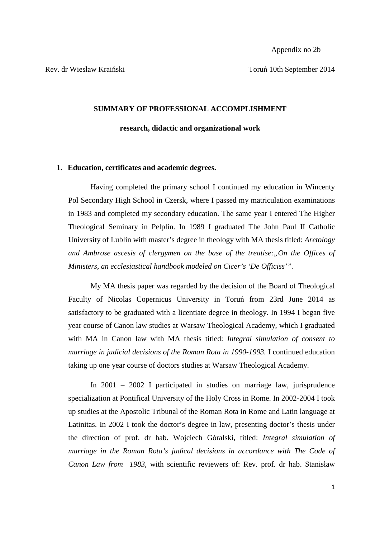Rev. dr Wiesław Kraiński Toruń 10th September 2014

## **SUMMARY OF PROFESSIONAL ACCOMPLISHMENT**

### **research, didactic and organizational work**

## **1. Education, certificates and academic degrees.**

Having completed the primary school I continued my education in Wincenty Pol Secondary High School in Czersk, where I passed my matriculation examinations in 1983 and completed my secondary education. The same year I entered The Higher Theological Seminary in Pelplin. In 1989 I graduated The John Paul II Catholic University of Lublin with master's degree in theology with MA thesis titled: *Aretology and Ambrose ascesis of clergymen on the base of the treatise: On the Offices of Ministers, an ecclesiastical handbook modeled on Cicer's 'De Officiss'".*

My MA thesis paper was regarded by the decision of the Board of Theological Faculty of Nicolas Copernicus University in Toruń from 23rd June 2014 as satisfactory to be graduated with a licentiate degree in theology. In 1994 I began five year course of Canon law studies at Warsaw Theological Academy, which I graduated with MA in Canon law with MA thesis titled: *Integral simulation of consent to marriage in judicial decisions of the Roman Rota in 1990-1993.* I continued education taking up one year course of doctors studies at Warsaw Theological Academy.

In 2001 – 2002 I participated in studies on marriage law, jurisprudence specialization at Pontifical University of the Holy Cross in Rome. In 2002-2004 I took up studies at the Apostolic Tribunal of the Roman Rota in Rome and Latin language at Latinitas. In 2002 I took the doctor's degree in law, presenting doctor's thesis under the direction of prof. dr hab. Wojciech Góralski, titled: *Integral simulation of marriage in the Roman Rota's judical decisions in accordance with The Code of Canon Law from 1983,* with scientific reviewers of: Rev. prof. dr hab. Stanisław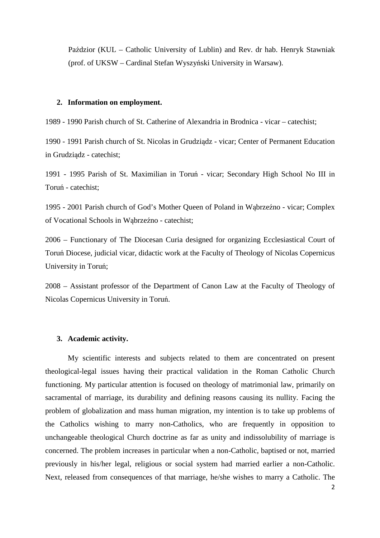Paździor (KUL – Catholic University of Lublin) and Rev. dr hab. Henryk Stawniak (prof. of UKSW – Cardinal Stefan Wyszyński University in Warsaw).

## **2. Information on employment.**

1989 - 1990 Parish church of St. Catherine of Alexandria in Brodnica - vicar – catechist;

1990 - 1991 Parish church of St. Nicolas in Grudziądz - vicar; Center of Permanent Education in Grudziądz - catechist;

1991 - 1995 Parish of St. Maximilian in Toruń - vicar; Secondary High School No III in Toruń - catechist;

1995 - 2001 Parish church of God's Mother Queen of Poland in Wąbrzeźno - vicar; Complex of Vocational Schools in Wąbrzeźno - catechist;

2006 – Functionary of The Diocesan Curia designed for organizing Ecclesiastical Court of Toruń Diocese, judicial vicar, didactic work at the Faculty of Theology of Nicolas Copernicus University in Toruń;

2008 – Assistant professor of the Department of Canon Law at the Faculty of Theology of Nicolas Copernicus University in Toruń.

## **3. Academic activity.**

My scientific interests and subjects related to them are concentrated on present theological-legal issues having their practical validation in the Roman Catholic Church functioning. My particular attention is focused on theology of matrimonial law, primarily on sacramental of marriage, its durability and defining reasons causing its nullity. Facing the problem of globalization and mass human migration, my intention is to take up problems of the Catholics wishing to marry non-Catholics, who are frequently in opposition to unchangeable theological Church doctrine as far as unity and indissolubility of marriage is concerned. The problem increases in particular when a non-Catholic, baptised or not, married previously in his/her legal, religious or social system had married earlier a non-Catholic. Next, released from consequences of that marriage, he/she wishes to marry a Catholic. The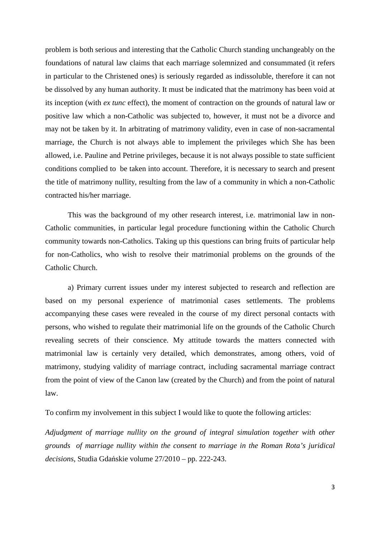problem is both serious and interesting that the Catholic Church standing unchangeably on the foundations of natural law claims that each marriage solemnized and consummated (it refers in particular to the Christened ones) is seriously regarded as indissoluble, therefore it can not be dissolved by any human authority. It must be indicated that the matrimony has been void at its inception (with *ex tunc* effect), the moment of contraction on the grounds of natural law or positive law which a non-Catholic was subjected to, however, it must not be a divorce and may not be taken by it. In arbitrating of matrimony validity, even in case of non-sacramental marriage, the Church is not always able to implement the privileges which She has been allowed, i.e. Pauline and Petrine privileges, because it is not always possible to state sufficient conditions complied to be taken into account. Therefore, it is necessary to search and present the title of matrimony nullity, resulting from the law of a community in which a non-Catholic contracted his/her marriage.

This was the background of my other research interest, i.e. matrimonial law in non-Catholic communities, in particular legal procedure functioning within the Catholic Church community towards non-Catholics. Taking up this questions can bring fruits of particular help for non-Catholics, who wish to resolve their matrimonial problems on the grounds of the Catholic Church.

a) Primary current issues under my interest subjected to research and reflection are based on my personal experience of matrimonial cases settlements. The problems accompanying these cases were revealed in the course of my direct personal contacts with persons, who wished to regulate their matrimonial life on the grounds of the Catholic Church revealing secrets of their conscience. My attitude towards the matters connected with matrimonial law is certainly very detailed, which demonstrates, among others, void of matrimony, studying validity of marriage contract, including sacramental marriage contract from the point of view of the Canon law (created by the Church) and from the point of natural law.

To confirm my involvement in this subject I would like to quote the following articles:

*Adjudgment of marriage nullity on the ground of integral simulation together with other grounds of marriage nullity within the consent to marriage in the Roman Rota's juridical decisions*, Studia Gdańskie volume 27/2010 – pp. 222-243.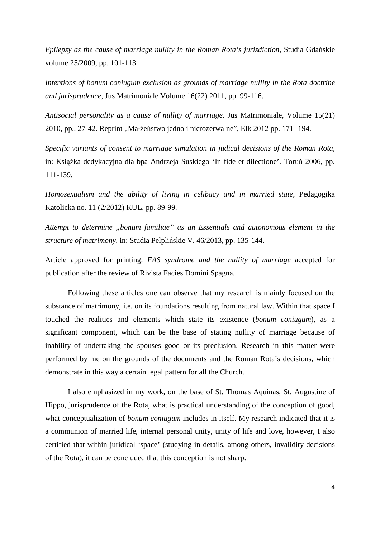*Epilepsy as the cause of marriage nullity in the Roman Rota's jurisdiction*, Studia Gdańskie volume 25/2009, pp. 101-113.

*Intentions of bonum coniugum exclusion as grounds of marriage nullity in the Rota doctrine and jurisprudence*, Jus Matrimoniale Volume 16(22) 2011, pp. 99-116.

*Antisocial personality as a cause of nullity of marriage*. Jus Matrimoniale, Volume 15(21) 2010, pp.. 27-42. Reprint "Małżeństwo jedno i nierozerwalne", Ełk 2012 pp. 171- 194.

*Specific variants of consent to marriage simulation in judical decisions of the Roman Rota,* in: Książka dedykacyjna dla bpa Andrzeja Suskiego 'In fide et dilectione'. Toruń 2006, pp. 111-139.

*Homosexualism and the ability of living in celibacy and in married state*, Pedagogika Katolicka no. 11 (2/2012) KUL, pp. 89-99.

*Attempt to determine "bonum familiae" as an Essentials and autonomous element in the structure of matrimony*, in: Studia Pelplińskie V. 46/2013, pp. 135-144.

Article approved for printing: *FAS syndrome and the nullity of marriage* accepted for publication after the review of Rivista Facies Domini Spagna.

Following these articles one can observe that my research is mainly focused on the substance of matrimony, i.e. on its foundations resulting from natural law. Within that space I touched the realities and elements which state its existence (*bonum coniugum*), as a significant component, which can be the base of stating nullity of marriage because of inability of undertaking the spouses good or its preclusion. Research in this matter were performed by me on the grounds of the documents and the Roman Rota's decisions, which demonstrate in this way a certain legal pattern for all the Church.

I also emphasized in my work, on the base of St. Thomas Aquinas, St. Augustine of Hippo, jurisprudence of the Rota, what is practical understanding of the conception of good, what conceptualization of *bonum coniugum* includes in itself. My research indicated that it is a communion of married life, internal personal unity, unity of life and love, however, I also certified that within juridical 'space' (studying in details, among others, invalidity decisions of the Rota), it can be concluded that this conception is not sharp.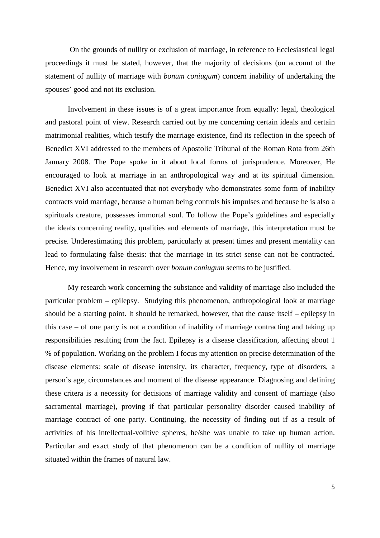On the grounds of nullity or exclusion of marriage, in reference to Ecclesiastical legal proceedings it must be stated, however, that the majority of decisions (on account of the statement of nullity of marriage with *bonum coniugum*) concern inability of undertaking the spouses' good and not its exclusion.

Involvement in these issues is of a great importance from equally: legal, theological and pastoral point of view. Research carried out by me concerning certain ideals and certain matrimonial realities, which testify the marriage existence, find its reflection in the speech of Benedict XVI addressed to the members of Apostolic Tribunal of the Roman Rota from 26th January 2008. The Pope spoke in it about local forms of jurisprudence. Moreover, He encouraged to look at marriage in an anthropological way and at its spiritual dimension. Benedict XVI also accentuated that not everybody who demonstrates some form of inability contracts void marriage, because a human being controls his impulses and because he is also a spirituals creature, possesses immortal soul. To follow the Pope's guidelines and especially the ideals concerning reality, qualities and elements of marriage, this interpretation must be precise. Underestimating this problem, particularly at present times and present mentality can lead to formulating false thesis: that the marriage in its strict sense can not be contracted. Hence, my involvement in research over *bonum coniugum* seems to be justified.

My research work concerning the substance and validity of marriage also included the particular problem – epilepsy. Studying this phenomenon, anthropological look at marriage should be a starting point. It should be remarked, however, that the cause itself – epilepsy in this case – of one party is not a condition of inability of marriage contracting and taking up responsibilities resulting from the fact. Epilepsy is a disease classification, affecting about 1 % of population. Working on the problem I focus my attention on precise determination of the disease elements: scale of disease intensity, its character, frequency, type of disorders, a person's age, circumstances and moment of the disease appearance. Diagnosing and defining these critera is a necessity for decisions of marriage validity and consent of marriage (also sacramental marriage), proving if that particular personality disorder caused inability of marriage contract of one party. Continuing, the necessity of finding out if as a result of activities of his intellectual-volitive spheres, he/she was unable to take up human action. Particular and exact study of that phenomenon can be a condition of nullity of marriage situated within the frames of natural law.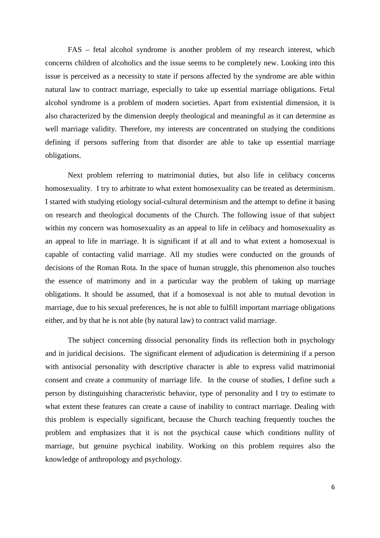FAS – fetal alcohol syndrome is another problem of my research interest, which concerns children of alcoholics and the issue seems to be completely new. Looking into this issue is perceived as a necessity to state if persons affected by the syndrome are able within natural law to contract marriage, especially to take up essential marriage obligations. Fetal alcohol syndrome is a problem of modern societies. Apart from existential dimension, it is also characterized by the dimension deeply theological and meaningful as it can determine as well marriage validity. Therefore, my interests are concentrated on studying the conditions defining if persons suffering from that disorder are able to take up essential marriage obligations.

Next problem referring to matrimonial duties, but also life in celibacy concerns homosexuality. I try to arbitrate to what extent homosexuality can be treated as determinism. I started with studying etiology social-cultural determinism and the attempt to define it basing on research and theological documents of the Church. The following issue of that subject within my concern was homosexuality as an appeal to life in celibacy and homosexuality as an appeal to life in marriage. It is significant if at all and to what extent a homosexual is capable of contacting valid marriage. All my studies were conducted on the grounds of decisions of the Roman Rota. In the space of human struggle, this phenomenon also touches the essence of matrimony and in a particular way the problem of taking up marriage obligations. It should be assumed, that if a homosexual is not able to mutual devotion in marriage, due to his sexual preferences, he is not able to fulfill important marriage obligations either, and by that he is not able (by natural law) to contract valid marriage.

The subject concerning dissocial personality finds its reflection both in psychology and in juridical decisions. The significant element of adjudication is determining if a person with antisocial personality with descriptive character is able to express valid matrimonial consent and create a community of marriage life. In the course of studies, I define such a person by distinguishing characteristic behavior, type of personality and I try to estimate to what extent these features can create a cause of inability to contract marriage. Dealing with this problem is especially significant, because the Church teaching frequently touches the problem and emphasizes that it is not the psychical cause which conditions nullity of marriage, but genuine psychical inability. Working on this problem requires also the knowledge of anthropology and psychology.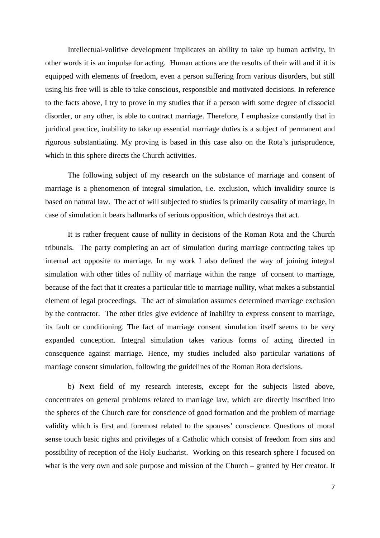Intellectual-volitive development implicates an ability to take up human activity, in other words it is an impulse for acting. Human actions are the results of their will and if it is equipped with elements of freedom, even a person suffering from various disorders, but still using his free will is able to take conscious, responsible and motivated decisions. In reference to the facts above, I try to prove in my studies that if a person with some degree of dissocial disorder, or any other, is able to contract marriage. Therefore, I emphasize constantly that in juridical practice, inability to take up essential marriage duties is a subject of permanent and rigorous substantiating. My proving is based in this case also on the Rota's jurisprudence, which in this sphere directs the Church activities.

The following subject of my research on the substance of marriage and consent of marriage is a phenomenon of integral simulation, i.e. exclusion, which invalidity source is based on natural law. The act of will subjected to studies is primarily causality of marriage, in case of simulation it bears hallmarks of serious opposition, which destroys that act.

It is rather frequent cause of nullity in decisions of the Roman Rota and the Church tribunals. The party completing an act of simulation during marriage contracting takes up internal act opposite to marriage. In my work I also defined the way of joining integral simulation with other titles of nullity of marriage within the range of consent to marriage, because of the fact that it creates a particular title to marriage nullity, what makes a substantial element of legal proceedings. The act of simulation assumes determined marriage exclusion by the contractor. The other titles give evidence of inability to express consent to marriage, its fault or conditioning. The fact of marriage consent simulation itself seems to be very expanded conception. Integral simulation takes various forms of acting directed in consequence against marriage. Hence, my studies included also particular variations of marriage consent simulation, following the guidelines of the Roman Rota decisions.

 b) Next field of my research interests, except for the subjects listed above, concentrates on general problems related to marriage law, which are directly inscribed into the spheres of the Church care for conscience of good formation and the problem of marriage validity which is first and foremost related to the spouses' conscience. Questions of moral sense touch basic rights and privileges of a Catholic which consist of freedom from sins and possibility of reception of the Holy Eucharist. Working on this research sphere I focused on what is the very own and sole purpose and mission of the Church – granted by Her creator. It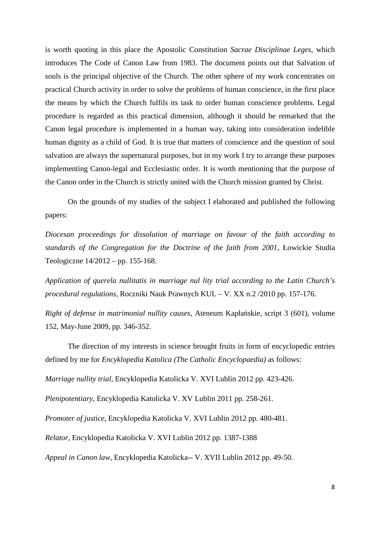is worth quoting in this place the Apostolic Constitution *Sacrae Disciplinae Leges*, which introduces The Code of Canon Law from 1983. The document points out that Salvation of souls is the principal objective of the Church. The other sphere of my work concentrates on practical Church activity in order to solve the problems of human conscience, in the first place the means by which the Church fulfils its task to order human conscience problems. Legal procedure is regarded as this practical dimension, although it should be remarked that the Canon legal procedure is implemented in a human way, taking into consideration indelible human dignity as a child of God. It is true that matters of conscience and the question of soul salvation are always the supernatural purposes, but in my work I try to arrange these purposes implementing Canon-legal and Ecclesiastic order. It is worth mentioning that the purpose of the Canon order in the Church is strictly united with the Church mission granted by Christ.

 On the grounds of my studies of the subject I elaborated and published the following papers:

*Diocesan proceedings for dissolution of marriage on favour of the faith according to standards of the Congregation for the Doctrine of the faith from 2001*, Łowickie Studia Teologiczne 14/2012 – pp. 155-168.

*Application of querela nullitatis in marriage nul lity trial according to the Latin Church's procedural regulations*, Roczniki Nauk Prawnych KUL – V. XX n.2 /2010 pp. 157-176.

*Right of defense in matrimonial nullity causes*, Ateneum Kapłańskie, script 3 (601), volume 152, May-June 2009, pp. 346-352.

 The direction of my interests in science brought fruits in form of encyclopedic entries defined by me for *Encyklopedia Katolica (The Catholic Encyclopaedia)* as follows:

*Marriage nullity trial*, Encyklopedia Katolicka V. XVI Lublin 2012 pp. 423-426.

*Plenipotentiary*, Encyklopedia Katolicka V. XV Lublin 2011 pp. 258-261.

*Promoter of justice*, Encyklopedia Katolicka V. XVI Lublin 2012 pp. 480-481.

*Relator*, Encyklopedia Katolicka V. XVI Lublin 2012 pp. 1387-1388

*Appeal in Canon law*, Encyklopedia Katolicka-- V. XVII Lublin 2012 pp. 49-50.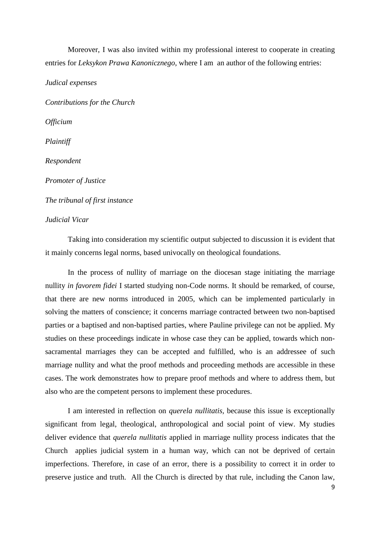Moreover, I was also invited within my professional interest to cooperate in creating entries for *Leksykon Prawa Kanonicznego*, where I am an author of the following entries:

*Judical expenses* 

*Contributions for the Church Officium Plaintiff Respondent Promoter of Justice The tribunal of first instance* 

# *Judicial Vicar*

Taking into consideration my scientific output subjected to discussion it is evident that it mainly concerns legal norms, based univocally on theological foundations.

In the process of nullity of marriage on the diocesan stage initiating the marriage nullity *in favorem fidei* I started studying non-Code norms. It should be remarked, of course, that there are new norms introduced in 2005, which can be implemented particularly in solving the matters of conscience; it concerns marriage contracted between two non-baptised parties or a baptised and non-baptised parties, where Pauline privilege can not be applied. My studies on these proceedings indicate in whose case they can be applied, towards which nonsacramental marriages they can be accepted and fulfilled, who is an addressee of such marriage nullity and what the proof methods and proceeding methods are accessible in these cases. The work demonstrates how to prepare proof methods and where to address them, but also who are the competent persons to implement these procedures.

I am interested in reflection on *querela nullitatis,* because this issue is exceptionally significant from legal, theological, anthropological and social point of view. My studies deliver evidence that *querela nullitatis* applied in marriage nullity process indicates that the Church applies judicial system in a human way, which can not be deprived of certain imperfections. Therefore, in case of an error, there is a possibility to correct it in order to preserve justice and truth. All the Church is directed by that rule, including the Canon law,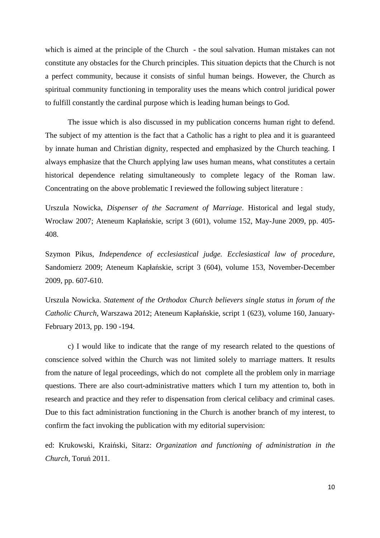which is aimed at the principle of the Church - the soul salvation. Human mistakes can not constitute any obstacles for the Church principles. This situation depicts that the Church is not a perfect community, because it consists of sinful human beings. However, the Church as spiritual community functioning in temporality uses the means which control juridical power to fulfill constantly the cardinal purpose which is leading human beings to God.

The issue which is also discussed in my publication concerns human right to defend. The subject of my attention is the fact that a Catholic has a right to plea and it is guaranteed by innate human and Christian dignity, respected and emphasized by the Church teaching. I always emphasize that the Church applying law uses human means, what constitutes a certain historical dependence relating simultaneously to complete legacy of the Roman law. Concentrating on the above problematic I reviewed the following subject literature :

Urszula Nowicka, *Dispenser of the Sacrament of Marriage*. Historical and legal study, Wrocław 2007; Ateneum Kapłańskie, script 3 (601), volume 152, May-June 2009, pp. 405- 408.

Szymon Pikus, *Independence of ecclesiastical judge. Ecclesiastical law of procedure*, Sandomierz 2009; Ateneum Kapłańskie, script 3 (604), volume 153, November-December 2009, pp. 607-610.

Urszula Nowicka. *Statement of the Orthodox Church believers single status in forum of the Catholic Church*, Warszawa 2012; Ateneum Kapłańskie, script 1 (623), volume 160, January-February 2013, pp. 190 -194.

c) I would like to indicate that the range of my research related to the questions of conscience solved within the Church was not limited solely to marriage matters. It results from the nature of legal proceedings, which do not complete all the problem only in marriage questions. There are also court-administrative matters which I turn my attention to, both in research and practice and they refer to dispensation from clerical celibacy and criminal cases. Due to this fact administration functioning in the Church is another branch of my interest, to confirm the fact invoking the publication with my editorial supervision:

ed: Krukowski, Kraiński, Sitarz: *Organization and functioning of administration in the Church*, Toruń 2011.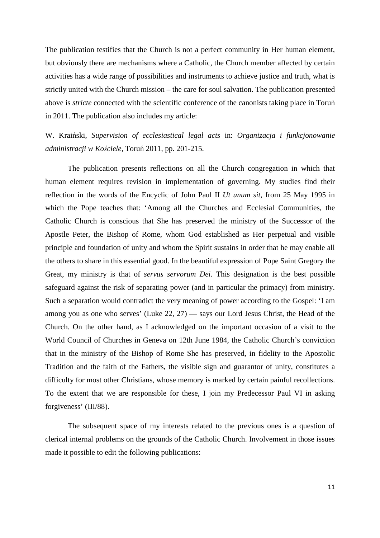The publication testifies that the Church is not a perfect community in Her human element, but obviously there are mechanisms where a Catholic, the Church member affected by certain activities has a wide range of possibilities and instruments to achieve justice and truth, what is strictly united with the Church mission – the care for soul salvation. The publication presented above is *stricte* connected with the scientific conference of the canonists taking place in Toruń in 2011. The publication also includes my article:

W. Kraiński, *Supervision of ecclesiastical legal acts* in: *Organizacja i funkcjonowanie administracji w Kościele*, Toruń 2011, pp. 201-215.

The publication presents reflections on all the Church congregation in which that human element requires revision in implementation of governing. My studies find their reflection in the words of the Encyclic of John Paul II *Ut unum sit,* from 25 May 1995 in which the Pope teaches that: 'Among all the Churches and Ecclesial Communities, the Catholic Church is conscious that She has preserved the ministry of the Successor of the Apostle Peter, the Bishop of Rome, whom God established as Her perpetual and visible principle and foundation of unity and whom the Spirit sustains in order that he may enable all the others to share in this essential good. In the beautiful expression of Pope Saint Gregory the Great, my ministry is that of *servus servorum Dei.* This designation is the best possible safeguard against the risk of separating power (and in particular the primacy) from ministry. Such a separation would contradict the very meaning of power according to the Gospel: 'I am among you as one who serves' (Luke 22, 27) — says our Lord Jesus Christ, the Head of the Church. On the other hand, as I acknowledged on the important occasion of a visit to the World Council of Churches in Geneva on 12th June 1984, the Catholic Church's conviction that in the ministry of the Bishop of Rome She has preserved, in fidelity to the Apostolic Tradition and the faith of the Fathers, the visible sign and guarantor of unity, constitutes a difficulty for most other Christians, whose memory is marked by certain painful recollections. To the extent that we are responsible for these, I join my Predecessor Paul VI in asking forgiveness' (III/88).

The subsequent space of my interests related to the previous ones is a question of clerical internal problems on the grounds of the Catholic Church. Involvement in those issues made it possible to edit the following publications: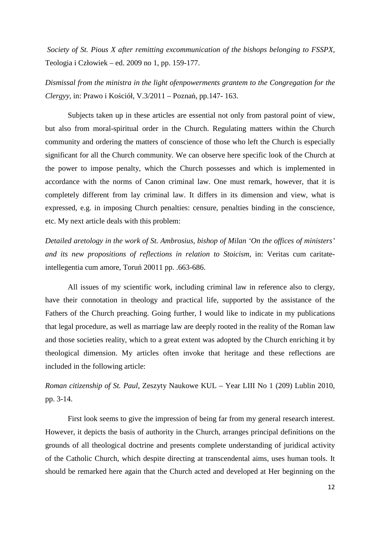*Society of St. Pious X after remitting excommunication of the bishops belonging to FSSPX*, Teologia i Człowiek – ed. 2009 no 1, pp. 159-177.

*Dismissal from the ministra in the light ofenpowerments grantem to the Congregation for the Clergyy*, in: Prawo i Kościół, V.3/2011 – Poznań, pp.147- 163.

Subjects taken up in these articles are essential not only from pastoral point of view, but also from moral-spiritual order in the Church. Regulating matters within the Church community and ordering the matters of conscience of those who left the Church is especially significant for all the Church community. We can observe here specific look of the Church at the power to impose penalty, which the Church possesses and which is implemented in accordance with the norms of Canon criminal law. One must remark, however, that it is completely different from lay criminal law. It differs in its dimension and view, what is expressed, e.g. in imposing Church penalties: censure, penalties binding in the conscience, etc. My next article deals with this problem:

*Detailed aretology in the work of St. Ambrosius, bishop of Milan 'On the offices of ministers' and its new propositions of reflections in relation to Stoicism,* in: Veritas cum caritateintellegentia cum amore, Toruń 20011 pp. .663-686.

All issues of my scientific work, including criminal law in reference also to clergy, have their connotation in theology and practical life, supported by the assistance of the Fathers of the Church preaching. Going further, I would like to indicate in my publications that legal procedure, as well as marriage law are deeply rooted in the reality of the Roman law and those societies reality, which to a great extent was adopted by the Church enriching it by theological dimension. My articles often invoke that heritage and these reflections are included in the following article:

# *Roman citizenship of St. Paul*, Zeszyty Naukowe KUL – Year LIII No 1 (209) Lublin 2010, pp. 3-14.

First look seems to give the impression of being far from my general research interest. However, it depicts the basis of authority in the Church, arranges principal definitions on the grounds of all theological doctrine and presents complete understanding of juridical activity of the Catholic Church, which despite directing at transcendental aims, uses human tools. It should be remarked here again that the Church acted and developed at Her beginning on the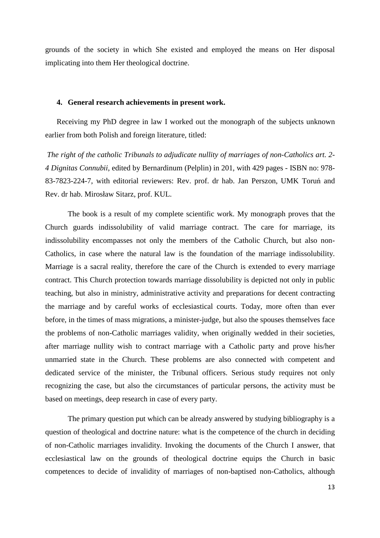grounds of the society in which She existed and employed the means on Her disposal implicating into them Her theological doctrine.

## **4. General research achievements in present work.**

Receiving my PhD degree in law I worked out the monograph of the subjects unknown earlier from both Polish and foreign literature, titled:

 *The right of the catholic Tribunals to adjudicate nullity of marriages of non-Catholics art. 2- 4 Dignitas Connubii*, edited by Bernardinum (Pelplin) in 201, with 429 pages - ISBN no: 978- 83-7823-224-7, with editorial reviewers: Rev. prof. dr hab. Jan Perszon, UMK Toruń and Rev. dr hab. Mirosław Sitarz, prof. KUL.

The book is a result of my complete scientific work. My monograph proves that the Church guards indissolubility of valid marriage contract. The care for marriage, its indissolubility encompasses not only the members of the Catholic Church, but also non-Catholics, in case where the natural law is the foundation of the marriage indissolubility. Marriage is a sacral reality, therefore the care of the Church is extended to every marriage contract. This Church protection towards marriage dissolubility is depicted not only in public teaching, but also in ministry, administrative activity and preparations for decent contracting the marriage and by careful works of ecclesiastical courts. Today, more often than ever before, in the times of mass migrations, a minister-judge, but also the spouses themselves face the problems of non-Catholic marriages validity, when originally wedded in their societies, after marriage nullity wish to contract marriage with a Catholic party and prove his/her unmarried state in the Church. These problems are also connected with competent and dedicated service of the minister, the Tribunal officers. Serious study requires not only recognizing the case, but also the circumstances of particular persons, the activity must be based on meetings, deep research in case of every party.

The primary question put which can be already answered by studying bibliography is a question of theological and doctrine nature: what is the competence of the church in deciding of non-Catholic marriages invalidity. Invoking the documents of the Church I answer, that ecclesiastical law on the grounds of theological doctrine equips the Church in basic competences to decide of invalidity of marriages of non-baptised non-Catholics, although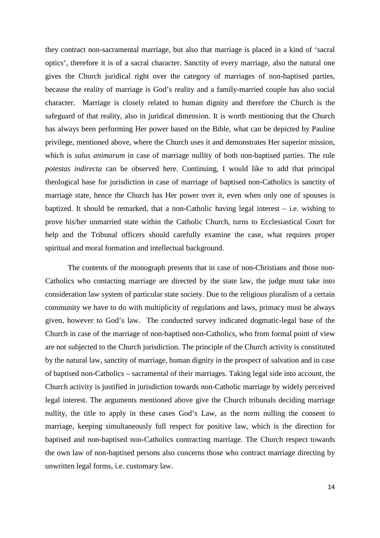they contract non-sacramental marriage, but also that marriage is placed in a kind of 'sacral optics', therefore it is of a sacral character. Sanctity of every marriage, also the natural one gives the Church juridical right over the category of marriages of non-baptised parties, because the reality of marriage is God's reality and a family-married couple has also social character. Marriage is closely related to human dignity and therefore the Church is the safeguard of that reality, also in juridical dimension. It is worth mentioning that the Church has always been performing Her power based on the Bible, what can be depicted by Pauline privilege, mentioned above, where the Church uses it and demonstrates Her superior mission, which is *salus animarum* in case of marriage nullity of both non-baptised parties. The rule *potestas indirecta* can be observed here. Continuing, I would like to add that principal theological base for jurisdiction in case of marriage of baptised non-Catholics is sanctity of marriage state, hence the Church has Her power over it, even when only one of spouses is baptized. It should be remarked, that a non-Catholic having legal interest – i.e. wishing to prove his/her unmarried state within the Catholic Church, turns to Ecclesiastical Court for help and the Tribunal officers should carefully examine the case, what requires proper spiritual and moral formation and intellectual background.

The contents of the monograph presents that in case of non-Christians and those non-Catholics who contacting marriage are directed by the state law, the judge must take into consideration law system of particular state society. Due to the religious pluralism of a certain community we have to do with multiplicity of regulations and laws, primacy must be always given, however to God's law. The conducted survey indicated dogmatic-legal base of the Church in case of the marriage of non-baptised non-Catholics, who from formal point of view are not subjected to the Church jurisdiction. The principle of the Church activity is constituted by the natural law, sanctity of marriage, human dignity in the prospect of salvation and in case of baptised non-Catholics – sacramental of their marriages. Taking legal side into account, the Church activity is justified in jurisdiction towards non-Catholic marriage by widely perceived legal interest. The arguments mentioned above give the Church tribunals deciding marriage nullity, the title to apply in these cases God's Law, as the norm nulling the consent to marriage, keeping simultaneously full respect for positive law, which is the direction for baptised and non-baptised non-Catholics contracting marriage. The Church respect towards the own law of non-baptised persons also concerns those who contract marriage directing by unwritten legal forms, i.e. customary law.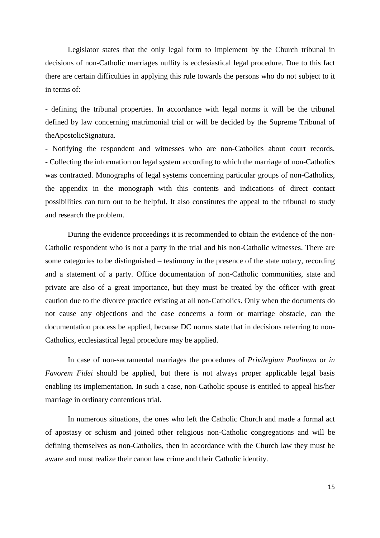Legislator states that the only legal form to implement by the Church tribunal in decisions of non-Catholic marriages nullity is ecclesiastical legal procedure. Due to this fact there are certain difficulties in applying this rule towards the persons who do not subject to it in terms of:

- defining the tribunal properties. In accordance with legal norms it will be the tribunal defined by law concerning matrimonial trial or will be decided by the Supreme Tribunal of theApostolicSignatura.

- Notifying the respondent and witnesses who are non-Catholics about court records. - Collecting the information on legal system according to which the marriage of non-Catholics was contracted. Monographs of legal systems concerning particular groups of non-Catholics, the appendix in the monograph with this contents and indications of direct contact possibilities can turn out to be helpful. It also constitutes the appeal to the tribunal to study and research the problem.

 During the evidence proceedings it is recommended to obtain the evidence of the non-Catholic respondent who is not a party in the trial and his non-Catholic witnesses. There are some categories to be distinguished – testimony in the presence of the state notary, recording and a statement of a party. Office documentation of non-Catholic communities, state and private are also of a great importance, but they must be treated by the officer with great caution due to the divorce practice existing at all non-Catholics. Only when the documents do not cause any objections and the case concerns a form or marriage obstacle, can the documentation process be applied, because DC norms state that in decisions referring to non-Catholics, ecclesiastical legal procedure may be applied.

 In case of non-sacramental marriages the procedures of *Privilegium Paulinum* or *in Favorem Fidei* should be applied, but there is not always proper applicable legal basis enabling its implementation. In such a case, non-Catholic spouse is entitled to appeal his/her marriage in ordinary contentious trial.

 In numerous situations, the ones who left the Catholic Church and made a formal act of apostasy or schism and joined other religious non-Catholic congregations and will be defining themselves as non-Catholics, then in accordance with the Church law they must be aware and must realize their canon law crime and their Catholic identity.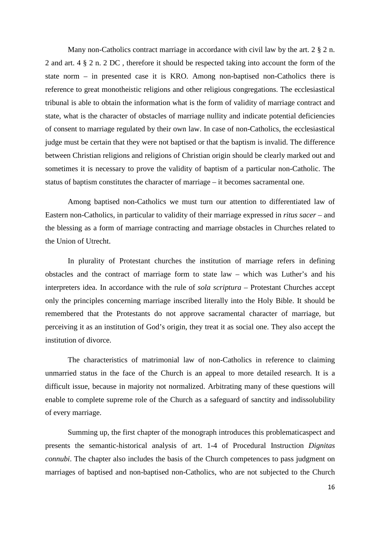Many non-Catholics contract marriage in accordance with civil law by the art. 2  $\S 2$  n. 2 and art. 4 § 2 n. 2 DC , therefore it should be respected taking into account the form of the state norm – in presented case it is KRO. Among non-baptised non-Catholics there is reference to great monotheistic religions and other religious congregations. The ecclesiastical tribunal is able to obtain the information what is the form of validity of marriage contract and state, what is the character of obstacles of marriage nullity and indicate potential deficiencies of consent to marriage regulated by their own law. In case of non-Catholics, the ecclesiastical judge must be certain that they were not baptised or that the baptism is invalid. The difference between Christian religions and religions of Christian origin should be clearly marked out and sometimes it is necessary to prove the validity of baptism of a particular non-Catholic. The status of baptism constitutes the character of marriage – it becomes sacramental one.

Among baptised non-Catholics we must turn our attention to differentiated law of Eastern non-Catholics, in particular to validity of their marriage expressed in *ritus sacer* – and the blessing as a form of marriage contracting and marriage obstacles in Churches related to the Union of Utrecht.

In plurality of Protestant churches the institution of marriage refers in defining obstacles and the contract of marriage form to state law – which was Luther's and his interpreters idea. In accordance with the rule of *sola scriptura* – Protestant Churches accept only the principles concerning marriage inscribed literally into the Holy Bible. It should be remembered that the Protestants do not approve sacramental character of marriage, but perceiving it as an institution of God's origin, they treat it as social one. They also accept the institution of divorce.

The characteristics of matrimonial law of non-Catholics in reference to claiming unmarried status in the face of the Church is an appeal to more detailed research. It is a difficult issue, because in majority not normalized. Arbitrating many of these questions will enable to complete supreme role of the Church as a safeguard of sanctity and indissolubility of every marriage.

 Summing up, the first chapter of the monograph introduces this problematicaspect and presents the semantic-historical analysis of art. 1-4 of Procedural Instruction *Dignitas connubi*. The chapter also includes the basis of the Church competences to pass judgment on marriages of baptised and non-baptised non-Catholics, who are not subjected to the Church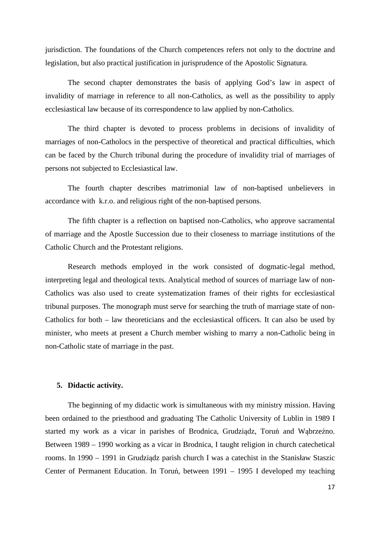jurisdiction. The foundations of the Church competences refers not only to the doctrine and legislation, but also practical justification in jurisprudence of the Apostolic Signatura.

 The second chapter demonstrates the basis of applying God's law in aspect of invalidity of marriage in reference to all non-Catholics, as well as the possibility to apply ecclesiastical law because of its correspondence to law applied by non-Catholics.

 The third chapter is devoted to process problems in decisions of invalidity of marriages of non-Catholocs in the perspective of theoretical and practical difficulties, which can be faced by the Church tribunal during the procedure of invalidity trial of marriages of persons not subjected to Ecclesiastical law.

 The fourth chapter describes matrimonial law of non-baptised unbelievers in accordance with k.r.o. and religious right of the non-baptised persons.

 The fifth chapter is a reflection on baptised non-Catholics, who approve sacramental of marriage and the Apostle Succession due to their closeness to marriage institutions of the Catholic Church and the Protestant religions.

 Research methods employed in the work consisted of dogmatic-legal method, interpreting legal and theological texts. Analytical method of sources of marriage law of non-Catholics was also used to create systematization frames of their rights for ecclesiastical tribunal purposes. The monograph must serve for searching the truth of marriage state of non-Catholics for both – law theoreticians and the ecclesiastical officers. It can also be used by minister, who meets at present a Church member wishing to marry a non-Catholic being in non-Catholic state of marriage in the past.

### **5. Didactic activity.**

The beginning of my didactic work is simultaneous with my ministry mission. Having been ordained to the priesthood and graduating The Catholic University of Lublin in 1989 I started my work as a vicar in parishes of Brodnica, Grudziądz, Toruń and Wąbrzeźno. Between 1989 – 1990 working as a vicar in Brodnica, I taught religion in church catechetical rooms. In 1990 – 1991 in Grudziądz parish church I was a catechist in the Stanisław Staszic Center of Permanent Education. In Toruń, between 1991 – 1995 I developed my teaching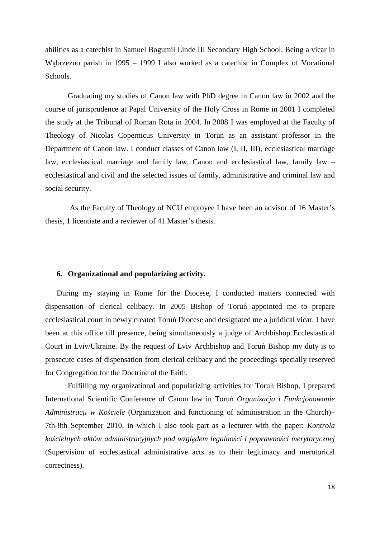abilities as a catechist in Samuel Bogumił Linde III Secondary High School. Being a vicar in Wąbrzeźno parish in 1995 – 1999 I also worked as a catechist in Complex of Vocational Schools.

Graduating my studies of Canon law with PhD degree in Canon law in 2002 and the course of jurisprudence at Papal University of the Holy Cross in Rome in 2001 I completed the study at the Tribunal of Roman Rota in 2004. In 2008 I was employed at the Faculty of Theology of Nicolas Copernicus University in Torun as an assistant professor in the Department of Canon law. I conduct classes of Canon law (I, II, III), ecclesiastical marriage law, ecclesiastical marriage and family law, Canon and ecclesiastical law, family law – ecclesiastical and civil and the selected issues of family, administrative and criminal law and social security.

 As the Faculty of Theology of NCU employee I have been an advisor of 16 Master's thesis, 1 licentiate and a reviewer of 41 Master's thesis.

## **6. Organizational and popularizing activity.**

During my staying in Rome for the Diocese, I conducted matters connected with dispensation of clerical celibacy. In 2005 Bishop of Toruń appointed me to prepare ecclesiastical court in newly created Toruń Diocese and designated me a juridical vicar. I have been at this office till presence, being simultaneously a judge of Archbishop Ecclesiastical Court in Lviv/Ukraine. By the request of Lviv Archbishop and Toruń Bishop my duty is to prosecute cases of dispensation from clerical celibacy and the proceedings specially reserved for Congregation for the Doctrine of the Faith.

Fulfilling my organizational and popularizing activities for Toruń Bishop, I prepared International Scientific Conference of Canon law in Toruń *Organizacja i Funkcjonowanie Administracji w Kościele* (Organization and functioning of administration in the Church)– 7th-8th September 2010, in which I also took part as a lecturer with the paper: *Kontrola kościelnych aktów administracyjnych pod względem legalności i poprawności merytorycznej* (Supervision of ecclesiastical administrative acts as to their legitimacy and merotorical correctness).